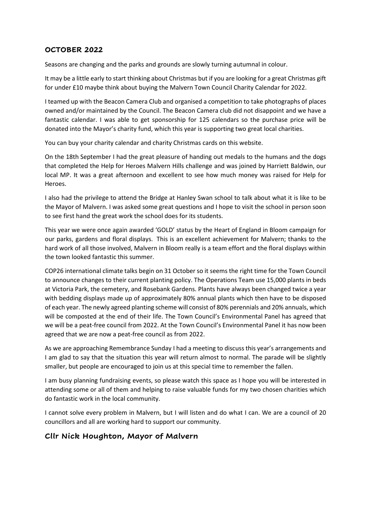## **OCTOBER 2022**

Seasons are changing and the parks and grounds are slowly turning autumnal in colour.

It may be a little early to start thinking about Christmas but if you are looking for a great Christmas gift for under £10 maybe think about buying the Malvern Town Council Charity Calendar for 2022.

I teamed up with the Beacon Camera Club and organised a competition to take photographs of places owned and/or maintained by the Council. The Beacon Camera club did not disappoint and we have a fantastic calendar. I was able to get sponsorship for 125 calendars so the purchase price will be donated into the Mayor's charity fund, which this year is supporting two great local charities.

You can buy your charity calendar and charity Christmas cards on this website.

On the 18th September I had the great pleasure of handing out medals to the humans and the dogs that completed the Help for Heroes Malvern Hills challenge and was joined by Harriett Baldwin, our local MP. It was a great afternoon and excellent to see how much money was raised for Help for Heroes.

I also had the privilege to attend the Bridge at Hanley Swan school to talk about what it is like to be the Mayor of Malvern. I was asked some great questions and I hope to visit the school in person soon to see first hand the great work the school does for its students.

This year we were once again awarded 'GOLD' status by the Heart of England in Bloom campaign for our parks, gardens and floral displays. This is an excellent achievement for Malvern; thanks to the hard work of all those involved, Malvern in Bloom really is a team effort and the floral displays within the town looked fantastic this summer.

COP26 international climate talks begin on 31 October so it seems the right time for the Town Council to announce changes to their current planting policy. The Operations Team use 15,000 plants in beds at Victoria Park, the cemetery, and Rosebank Gardens. Plants have always been changed twice a year with bedding displays made up of approximately 80% annual plants which then have to be disposed of each year. The newly agreed planting scheme will consist of 80% perennials and 20% annuals, which will be composted at the end of their life. The Town Council's Environmental Panel has agreed that we will be a peat-free council from 2022. At the Town Council's Environmental Panel it has now been agreed that we are now a peat-free council as from 2022.

As we are approaching Remembrance Sunday I had a meeting to discuss this year's arrangements and I am glad to say that the situation this year will return almost to normal. The parade will be slightly smaller, but people are encouraged to join us at this special time to remember the fallen.

I am busy planning fundraising events, so please watch this space as I hope you will be interested in attending some or all of them and helping to raise valuable funds for my two chosen charities which do fantastic work in the local community.

I cannot solve every problem in Malvern, but I will listen and do what I can. We are a council of 20 councillors and all are working hard to support our community.

## **Cllr Nick Houghton, Mayor of Malvern**